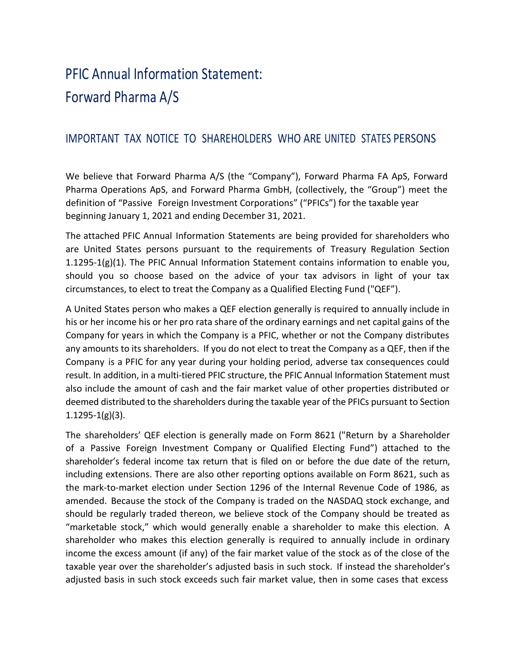# PFIC Annual Information Statement: Forward Pharma A/S

# IMPORTANT TAX NOTICE TO SHAREHOLDERS WHO ARE UNITED STATES PERSONS

We believe that Forward Pharma A/S (the "Company"), Forward Pharma FA ApS, Forward Pharma Operations ApS, and Forward Pharma GmbH, (collectively, the "Group") meet the definition of "Passive Foreign Investment Corporations" ("PFICs") for the taxable year beginning January 1, 2021 and ending December 31, 2021.

The attached PFIC Annual Information Statements are being provided for shareholders who are United States persons pursuant to the requirements of Treasury Regulation Section  $1.1295-1(g)(1)$ . The PFIC Annual Information Statement contains information to enable you, should you so choose based on the advice of your tax advisors in light of your tax circumstances, to elect to treat the Company as a Qualified Electing Fund ("QEF").

A United States person who makes a QEF election generally is required to annually include in his or her income his or her pro rata share of the ordinary earnings and net capital gains of the Company for years in which the Company is a PFIC, whether or not the Company distributes any amounts to its shareholders. If you do not elect to treat the Company as a QEF, then if the Company is a PFIC for any year during your holding period, adverse tax consequences could result. In addition, in a multi-tiered PFIC structure, the PFIC Annual Information Statement must also include the amount of cash and the fair market value of other properties distributed or deemed distributed to the shareholders during the taxable year of the PFICs pursuant to Section 1.1295-1(g)(3).

The shareholders' QEF election is generally made on Form 8621 ("Return by a Shareholder of a Passive Foreign Investment Company or Qualified Electing Fund") attached to the shareholder's federal income tax return that is filed on or before the due date of the return, including extensions. There are also other reporting options available on Form 8621, such as the mark-to-market election under Section 1296 of the Internal Revenue Code of 1986, as amended. Because the stock of the Company is traded on the NASDAQ stock exchange, and should be regularly traded thereon, we believe stock of the Company should be treated as "marketable stock," which would generally enable a shareholder to make this election. A shareholder who makes this election generally is required to annually include in ordinary income the excess amount (if any) of the fair market value of the stock as of the close of the taxable year over the shareholder's adjusted basis in such stock. If instead the shareholder's adjusted basis in such stock exceeds such fair market value, then in some cases that excess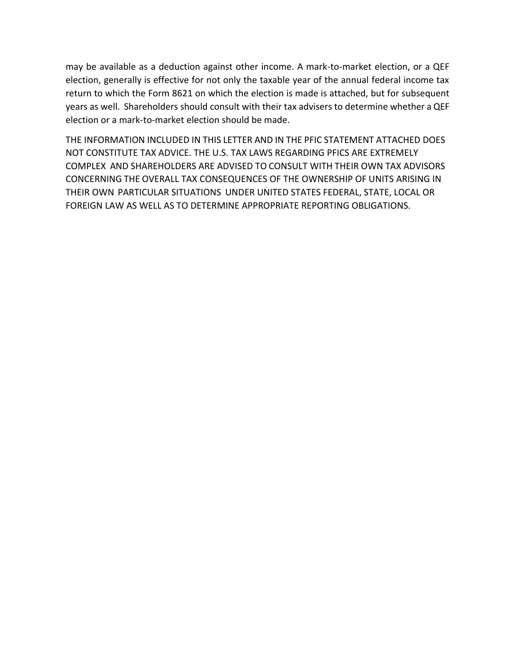may be available as a deduction against other income. A mark-to-market election, or a QEF election, generally is effective for not only the taxable year of the annual federal income tax return to which the Form 8621 on which the election is made is attached, but for subsequent years as well. Shareholders should consult with their tax advisers to determine whether a QEF election or a mark-to-market election should be made.

THE INFORMATION INCLUDED IN THIS LETTER AND IN THE PFIC STATEMENT ATTACHED DOES NOT CONSTITUTE TAX ADVICE. THE U.S. TAX LAWS REGARDING PFICS ARE EXTREMELY COMPLEX AND SHAREHOLDERS ARE ADVISED TO CONSULT WITH THEIR OWN TAX ADVISORS CONCERNING THE OVERALL TAX CONSEQUENCES OF THE OWNERSHIP OF UNITS ARISING IN THEIR OWN PARTICULAR SITUATIONS UNDER UNITED STATES FEDERAL, STATE, LOCAL OR FOREIGN LAW AS WELL AS TO DETERMINE APPROPRIATE REPORTING OBLIGATIONS.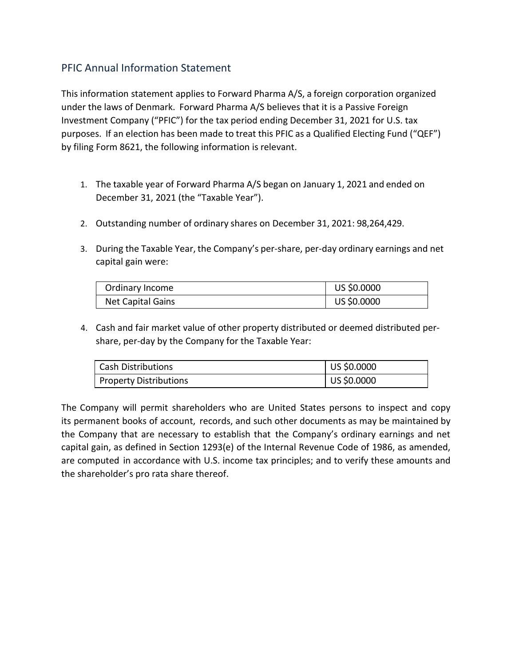This information statement applies to Forward Pharma A/S, a foreign corporation organized under the laws of Denmark. Forward Pharma A/S believes that it is a Passive Foreign Investment Company ("PFIC") for the tax period ending December 31, 2021 for U.S. tax purposes. If an election has been made to treat this PFIC as a Qualified Electing Fund ("QEF") by filing Form 8621, the following information is relevant.

- 1. The taxable year of Forward Pharma A/S began on January 1, 2021 and ended on December 31, 2021 (the "Taxable Year").
- 2. Outstanding number of ordinary shares on December 31, 2021: 98,264,429.
- 3. During the Taxable Year, the Company's per-share, per-day ordinary earnings and net capital gain were:

| Ordinary Income   | US \$0.0000 |
|-------------------|-------------|
| Net Capital Gains | US \$0.0000 |

4. Cash and fair market value of other property distributed or deemed distributed pershare, per-day by the Company for the Taxable Year:

| <b>Cash Distributions</b> | $ $ US \$0.0000     |
|---------------------------|---------------------|
| Property Distributions    | $\vert$ US \$0.0000 |

The Company will permit shareholders who are United States persons to inspect and copy its permanent books of account, records, and such other documents as may be maintained by the Company that are necessary to establish that the Company's ordinary earnings and net capital gain, as defined in Section 1293(e) of the Internal Revenue Code of 1986, as amended, are computed in accordance with U.S. income tax principles; and to verify these amounts and the shareholder's pro rata share thereof.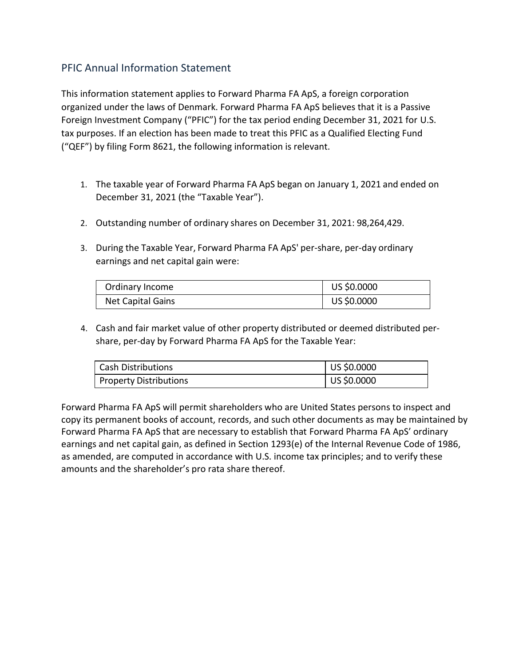This information statement applies to Forward Pharma FA ApS, a foreign corporation organized under the laws of Denmark. Forward Pharma FA ApS believes that it is a Passive Foreign Investment Company ("PFIC") for the tax period ending December 31, 2021 for U.S. tax purposes. If an election has been made to treat this PFIC as a Qualified Electing Fund ("QEF") by filing Form 8621, the following information is relevant.

- 1. The taxable year of Forward Pharma FA ApS began on January 1, 2021 and ended on December 31, 2021 (the "Taxable Year").
- 2. Outstanding number of ordinary shares on December 31, 2021: 98,264,429.
- 3. During the Taxable Year, Forward Pharma FA ApS' per-share, per-day ordinary earnings and net capital gain were:

| Ordinary Income   | US \$0.0000 |
|-------------------|-------------|
| Net Capital Gains | US \$0.0000 |

4. Cash and fair market value of other property distributed or deemed distributed pershare, per-day by Forward Pharma FA ApS for the Taxable Year:

| Cash Distributions     | US \$0.0000 |
|------------------------|-------------|
| Property Distributions | US \$0.0000 |

Forward Pharma FA ApS will permit shareholders who are United States persons to inspect and copy its permanent books of account, records, and such other documents as may be maintained by Forward Pharma FA ApS that are necessary to establish that Forward Pharma FA ApS' ordinary earnings and net capital gain, as defined in Section 1293(e) of the Internal Revenue Code of 1986, as amended, are computed in accordance with U.S. income tax principles; and to verify these amounts and the shareholder's pro rata share thereof.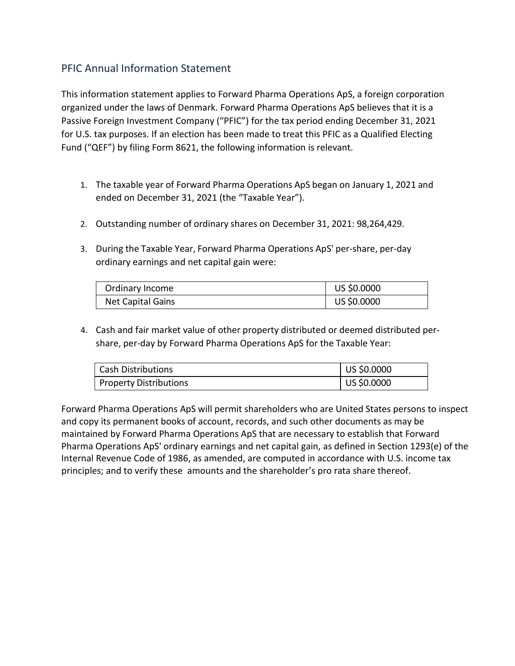This information statement applies to Forward Pharma Operations ApS, a foreign corporation organized under the laws of Denmark. Forward Pharma Operations ApS believes that it is a Passive Foreign Investment Company ("PFIC") for the tax period ending December 31, 2021 for U.S. tax purposes. If an election has been made to treat this PFIC as a Qualified Electing Fund ("QEF") by filing Form 8621, the following information is relevant.

- 1. The taxable year of Forward Pharma Operations ApS began on January 1, 2021 and ended on December 31, 2021 (the "Taxable Year").
- 2. Outstanding number of ordinary shares on December 31, 2021: 98,264,429.
- 3. During the Taxable Year, Forward Pharma Operations ApS' per-share, per-day ordinary earnings and net capital gain were:

| Ordinary Income   | US \$0.0000 |
|-------------------|-------------|
| Net Capital Gains | US \$0.0000 |

4. Cash and fair market value of other property distributed or deemed distributed pershare, per-day by Forward Pharma Operations ApS for the Taxable Year:

| Cash Distributions     | US \$0.0000         |
|------------------------|---------------------|
| Property Distributions | $\vert$ US \$0.0000 |

Forward Pharma Operations ApS will permit shareholders who are United States persons to inspect and copy its permanent books of account, records, and such other documents as may be maintained by Forward Pharma Operations ApS that are necessary to establish that Forward Pharma Operations ApS' ordinary earnings and net capital gain, as defined in Section 1293(e) of the Internal Revenue Code of 1986, as amended, are computed in accordance with U.S. income tax principles; and to verify these amounts and the shareholder's pro rata share thereof.